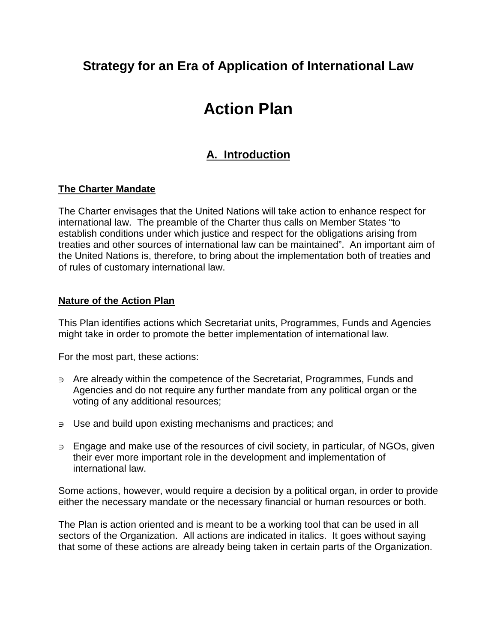# **Strategy for an Era of Application of International Law**

# **Action Plan**

# **A. Introduction**

# **The Charter Mandate**

The Charter envisages that the United Nations will take action to enhance respect for international law. The preamble of the Charter thus calls on Member States "to establish conditions under which justice and respect for the obligations arising from treaties and other sources of international law can be maintained". An important aim of the United Nations is, therefore, to bring about the implementation both of treaties and of rules of customary international law.

# **Nature of the Action Plan**

This Plan identifies actions which Secretariat units, Programmes, Funds and Agencies might take in order to promote the better implementation of international law.

For the most part, these actions:

- <sup>∋</sup>Are already within the competence of the Secretariat, Programmes, Funds and Agencies and do not require any further mandate from any political organ or the voting of any additional resources;
- <sup>∋</sup>Use and build upon existing mechanisms and practices; and
- <sup>∋</sup>Engage and make use of the resources of civil society, in particular, of NGOs, given their ever more important role in the development and implementation of international law.

Some actions, however, would require a decision by a political organ, in order to provide either the necessary mandate or the necessary financial or human resources or both.

The Plan is action oriented and is meant to be a working tool that can be used in all sectors of the Organization. All actions are indicated in italics. It goes without saying that some of these actions are already being taken in certain parts of the Organization.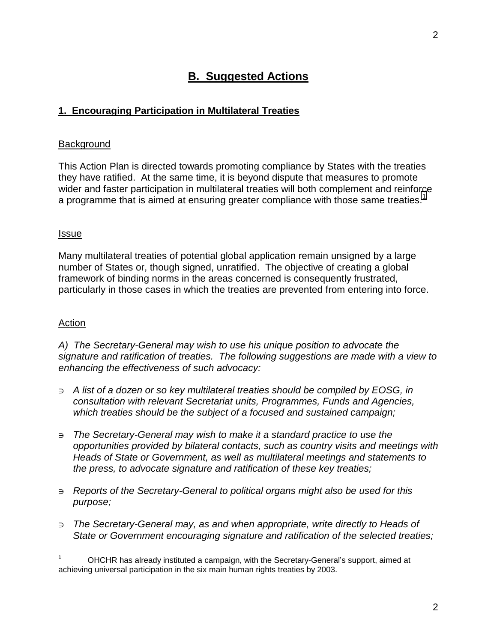# **B. Suggested Actions**

#### **1. Encouraging Participation in Multilateral Treaties**

#### **Background**

This Action Plan is directed towards promoting compliance by States with the treaties they have ratified. At the same time, it is beyond dispute that measures to promote wider and faster participation in multilateral treaties will both complement and reinforce a programme that is aimed at ensuring greater compliance with those same treaties.<sup>1</sup>

#### Issue

Many multilateral treaties of potential global application remain unsigned by a large number of States or, though signed, unratified. The objective of creating a global framework of binding norms in the areas concerned is consequently frustrated, particularly in those cases in which the treaties are prevented from entering into force.

#### Action

l

*A) The Secretary-General may wish to use his unique position to advocate the signature and ratification of treaties. The following suggestions are made with a view to enhancing the effectiveness of such advocacy:* 

- <sup>∋</sup>*A list of a dozen or so key multilateral treaties should be compiled by EOSG, in consultation with relevant Secretariat units, Programmes, Funds and Agencies, which treaties should be the subject of a focused and sustained campaign;*
- <sup>∋</sup>*The Secretary-General may wish to make it a standard practice to use the opportunities provided by bilateral contacts, such as country visits and meetings with Heads of State or Government, as well as multilateral meetings and statements to the press, to advocate signature and ratification of these key treaties;*
- <sup>∋</sup>*Reports of the Secretary-General to political organs might also be used for this purpose;*
- <sup>∋</sup>*The Secretary-General may, as and when appropriate, write directly to Heads of State or Government encouraging signature and ratification of the selected treaties;*

<sup>1</sup> OHCHR has already instituted a campaign, with the Secretary-General's support, aimed at achieving universal participation in the six main human rights treaties by 2003.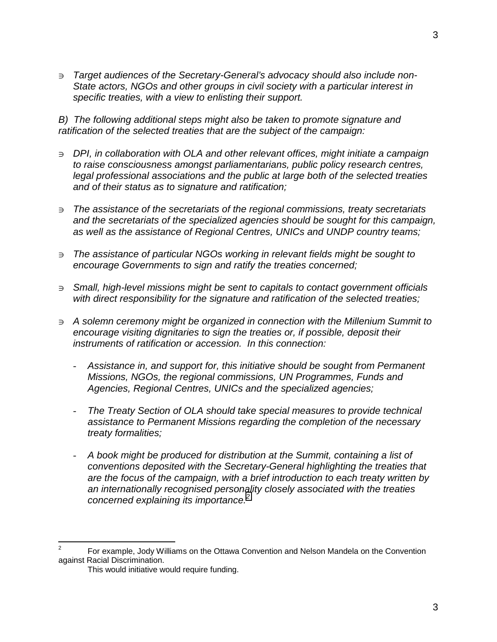Target audiences of the Secretary-General's advocacy should also include non-*State actors, NGOs and other groups in civil society with a particular interest in specific treaties, with a view to enlisting their support.* 

*B) The following additional steps might also be taken to promote signature and ratification of the selected treaties that are the subject of the campaign:* 

- <sup>∋</sup>*DPI, in collaboration with OLA and other relevant offices, might initiate a campaign to raise consciousness amongst parliamentarians, public policy research centres, legal professional associations and the public at large both of the selected treaties and of their status as to signature and ratification;*
- <sup>∋</sup>*The assistance of the secretariats of the regional commissions, treaty secretariats and the secretariats of the specialized agencies should be sought for this campaign, as well as the assistance of Regional Centres, UNICs and UNDP country teams;*
- <sup>∋</sup>*The assistance of particular NGOs working in relevant fields might be sought to encourage Governments to sign and ratify the treaties concerned;*
- <sup>∋</sup>*Small, high-level missions might be sent to capitals to contact government officials with direct responsibility for the signature and ratification of the selected treaties;*
- <sup>∋</sup>*A solemn ceremony might be organized in connection with the Millenium Summit to encourage visiting dignitaries to sign the treaties or, if possible, deposit their instruments of ratification or accession. In this connection:* 
	- *Assistance in, and support for, this initiative should be sought from Permanent Missions, NGOs, the regional commissions, UN Programmes, Funds and Agencies, Regional Centres, UNICs and the specialized agencies;*
	- *The Treaty Section of OLA should take special measures to provide technical assistance to Permanent Missions regarding the completion of the necessary treaty formalities;*
	- *A book might be produced for distribution at the Summit, containing a list of conventions deposited with the Secretary-General highlighting the treaties that are the focus of the campaign, with a brief introduction to each treaty written by an internationally recognised personality closely associated with the treaties concerned explaining its importance.<sup>2</sup>*

l

<sup>2</sup> For example, Jody Williams on the Ottawa Convention and Nelson Mandela on the Convention against Racial Discrimination.

This would initiative would require funding.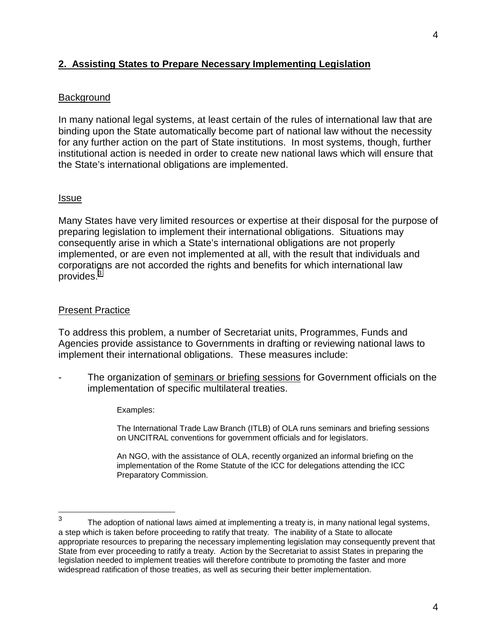# **2. Assisting States to Prepare Necessary Implementing Legislation**

#### **Background**

In many national legal systems, at least certain of the rules of international law that are binding upon the State automatically become part of national law without the necessity for any further action on the part of State institutions. In most systems, though, further institutional action is needed in order to create new national laws which will ensure that the State's international obligations are implemented.

#### Issue

Many States have very limited resources or expertise at their disposal for the purpose of preparing legislation to implement their international obligations. Situations may consequently arise in which a State's international obligations are not properly implemented, or are even not implemented at all, with the result that individuals and corporations are not accorded the rights and benefits for which international law provides.<sup>3</sup>

#### Present Practice

To address this problem, a number of Secretariat units, Programmes, Funds and Agencies provide assistance to Governments in drafting or reviewing national laws to implement their international obligations. These measures include:

- The organization of seminars or briefing sessions for Government officials on the implementation of specific multilateral treaties.
	- Examples:

The International Trade Law Branch (ITLB) of OLA runs seminars and briefing sessions on UNCITRAL conventions for government officials and for legislators.

An NGO, with the assistance of OLA, recently organized an informal briefing on the implementation of the Rome Statute of the ICC for delegations attending the ICC Preparatory Commission.

<sup>—&</sup>lt;br>3 The adoption of national laws aimed at implementing a treaty is, in many national legal systems, a step which is taken before proceeding to ratify that treaty. The inability of a State to allocate appropriate resources to preparing the necessary implementing legislation may consequently prevent that State from ever proceeding to ratify a treaty. Action by the Secretariat to assist States in preparing the legislation needed to implement treaties will therefore contribute to promoting the faster and more widespread ratification of those treaties, as well as securing their better implementation.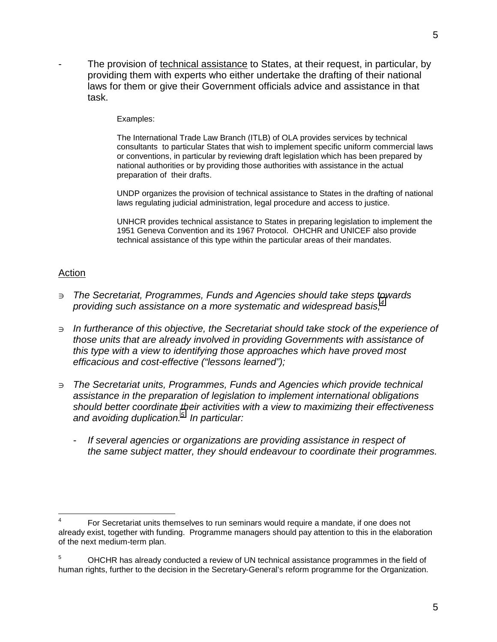The provision of technical assistance to States, at their request, in particular, by providing them with experts who either undertake the drafting of their national laws for them or give their Government officials advice and assistance in that task.

#### Examples:

The International Trade Law Branch (ITLB) of OLA provides services by technical consultants to particular States that wish to implement specific uniform commercial laws or conventions, in particular by reviewing draft legislation which has been prepared by national authorities or by providing those authorities with assistance in the actual preparation of their drafts.

UNDP organizes the provision of technical assistance to States in the drafting of national laws regulating judicial administration, legal procedure and access to justice.

UNHCR provides technical assistance to States in preparing legislation to implement the 1951 Geneva Convention and its 1967 Protocol. OHCHR and UNICEF also provide technical assistance of this type within the particular areas of their mandates.

#### **Action**

- <sup>∋</sup>*The Secretariat, Programmes, Funds and Agencies should take steps towards providing such assistance on a more systematic and widespread basis;4*
- <sup>∋</sup>*In furtherance of this objective, the Secretariat should take stock of the experience of those units that are already involved in providing Governments with assistance of this type with a view to identifying those approaches which have proved most efficacious and cost-effective ("lessons learned");*
- <sup>∋</sup>*The Secretariat units, Programmes, Funds and Agencies which provide technical assistance in the preparation of legislation to implement international obligations should better coordinate their activities with a view to maximizing their effectiveness and avoiding duplication.<sup>5</sup> In particular:* 
	- *If several agencies or organizations are providing assistance in respect of the same subject matter, they should endeavour to coordinate their programmes.*

l 4 For Secretariat units themselves to run seminars would require a mandate, if one does not already exist, together with funding. Programme managers should pay attention to this in the elaboration of the next medium-term plan.

<sup>5</sup> OHCHR has already conducted a review of UN technical assistance programmes in the field of human rights, further to the decision in the Secretary-General's reform programme for the Organization.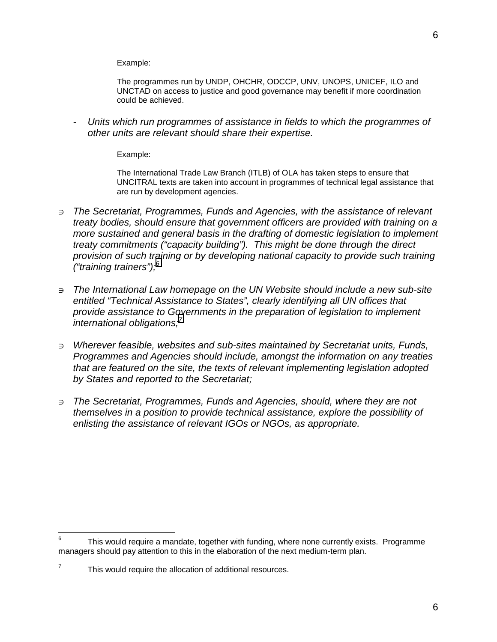Example:

The programmes run by UNDP, OHCHR, ODCCP, UNV, UNOPS, UNICEF, ILO and UNCTAD on access to justice and good governance may benefit if more coordination could be achieved.

*- Units which run programmes of assistance in fields to which the programmes of other units are relevant should share their expertise.* 

Example:

The International Trade Law Branch (ITLB) of OLA has taken steps to ensure that UNCITRAL texts are taken into account in programmes of technical legal assistance that are run by development agencies.

- <sup>∋</sup>*The Secretariat, Programmes, Funds and Agencies, with the assistance of relevant treaty bodies, should ensure that government officers are provided with training on a more sustained and general basis in the drafting of domestic legislation to implement treaty commitments ("capacity building"). This might be done through the direct provision of such training or by developing national capacity to provide such training ("training trainers");<sup>6</sup>*
- <sup>∋</sup>*The International Law homepage on the UN Website should include a new sub-site entitled "Technical Assistance to States", clearly identifying all UN offices that provide assistance to Governments in the preparation of legislation to implement international obligations;<sup>7</sup>*
- <sup>∋</sup>*Wherever feasible, websites and sub-sites maintained by Secretariat units, Funds, Programmes and Agencies should include, amongst the information on any treaties that are featured on the site, the texts of relevant implementing legislation adopted by States and reported to the Secretariat;*
- <sup>∋</sup>*The Secretariat, Programmes, Funds and Agencies, should, where they are not themselves in a position to provide technical assistance, explore the possibility of enlisting the assistance of relevant IGOs or NGOs, as appropriate.*

<sup>—&</sup>lt;br>6 This would require a mandate, together with funding, where none currently exists. Programme managers should pay attention to this in the elaboration of the next medium-term plan.

<sup>7</sup> This would require the allocation of additional resources.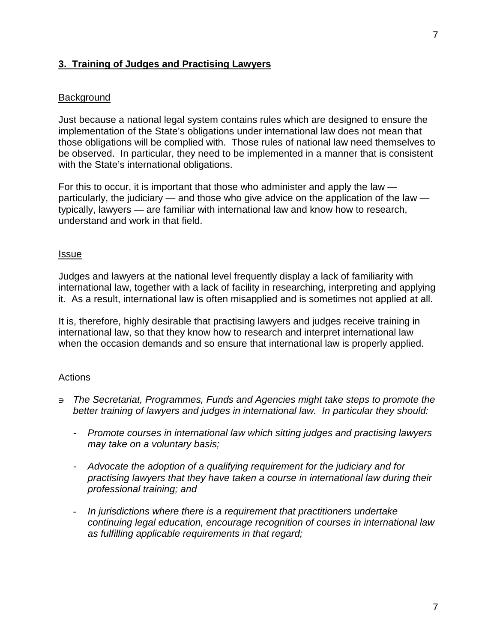# **3. Training of Judges and Practising Lawyers**

#### **Background**

Just because a national legal system contains rules which are designed to ensure the implementation of the State's obligations under international law does not mean that those obligations will be complied with. Those rules of national law need themselves to be observed. In particular, they need to be implemented in a manner that is consistent with the State's international obligations.

For this to occur, it is important that those who administer and apply the law particularly, the judiciary — and those who give advice on the application of the law typically, lawyers — are familiar with international law and know how to research, understand and work in that field.

#### Issue

Judges and lawyers at the national level frequently display a lack of familiarity with international law, together with a lack of facility in researching, interpreting and applying it. As a result, international law is often misapplied and is sometimes not applied at all.

It is, therefore, highly desirable that practising lawyers and judges receive training in international law, so that they know how to research and interpret international law when the occasion demands and so ensure that international law is properly applied.

#### **Actions**

- <sup>∋</sup>*The Secretariat, Programmes, Funds and Agencies might take steps to promote the better training of lawyers and judges in international law. In particular they should:* 
	- *Promote courses in international law which sitting judges and practising lawyers may take on a voluntary basis;*
	- *Advocate the adoption of a qualifying requirement for the judiciary and for practising lawyers that they have taken a course in international law during their professional training; and*
	- *In jurisdictions where there is a requirement that practitioners undertake continuing legal education, encourage recognition of courses in international law as fulfilling applicable requirements in that regard;*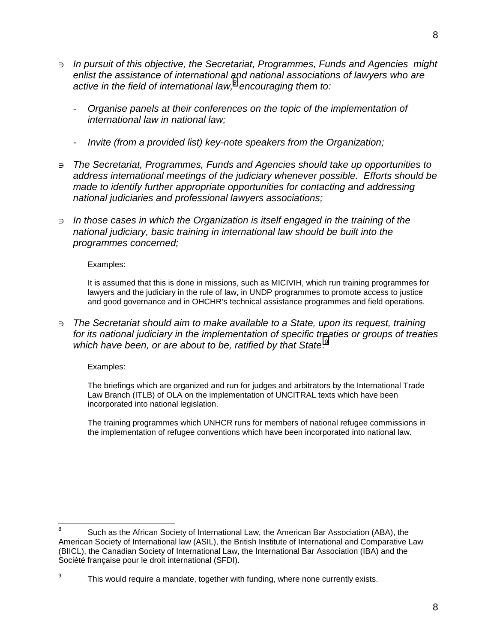- <sup>∋</sup>*In pursuit of this objective, the Secretariat, Programmes, Funds and Agencies might enlist the assistance of international and national associations of lawyers who are active in the field of international law,<sup>8</sup> encouraging them to:*
	- *Organise panels at their conferences on the topic of the implementation of international law in national law;*
	- *Invite (from a provided list) key-note speakers from the Organization;*
- <sup>∋</sup>*The Secretariat, Programmes, Funds and Agencies should take up opportunities to address international meetings of the judiciary whenever possible. Efforts should be made to identify further appropriate opportunities for contacting and addressing national judiciaries and professional lawyers associations;*
- <sup>∋</sup>*In those cases in which the Organization is itself engaged in the training of the national judiciary, basic training in international law should be built into the programmes concerned;*

#### Examples:

It is assumed that this is done in missions, such as MICIVIH, which run training programmes for lawyers and the judiciary in the rule of law, in UNDP programmes to promote access to justice and good governance and in OHCHR's technical assistance programmes and field operations.

<sup>∋</sup>*The Secretariat should aim to make available to a State, upon its request, training for its national judiciary in the implementation of specific treaties or groups of treaties*  which have been, or are about to be, ratified by that State.<sup>9</sup>

Examples:

The briefings which are organized and run for judges and arbitrators by the International Trade Law Branch (ITLB) of OLA on the implementation of UNCITRAL texts which have been incorporated into national legislation.

The training programmes which UNHCR runs for members of national refugee commissions in the implementation of refugee conventions which have been incorporated into national law.

l 8 Such as the African Society of International Law, the American Bar Association (ABA), the American Society of International law (ASIL), the British Institute of International and Comparative Law (BIICL), the Canadian Society of International Law, the International Bar Association (IBA) and the Société française pour le droit international (SFDI).

<sup>9</sup> This would require a mandate, together with funding, where none currently exists.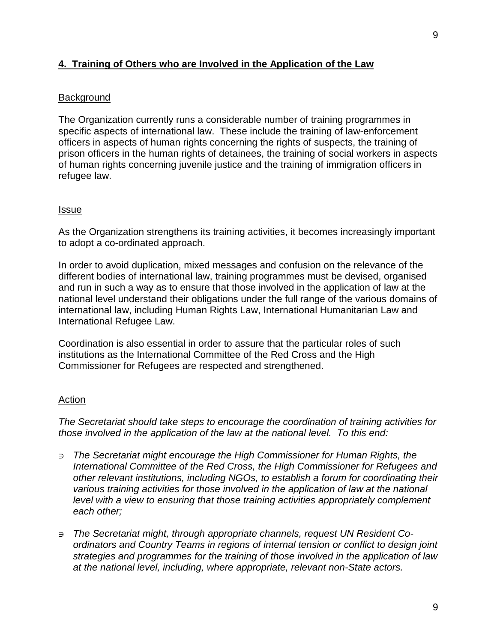# **4. Training of Others who are Involved in the Application of the Law**

#### **Background**

The Organization currently runs a considerable number of training programmes in specific aspects of international law. These include the training of law-enforcement officers in aspects of human rights concerning the rights of suspects, the training of prison officers in the human rights of detainees, the training of social workers in aspects of human rights concerning juvenile justice and the training of immigration officers in refugee law.

#### **Issue**

As the Organization strengthens its training activities, it becomes increasingly important to adopt a co-ordinated approach.

In order to avoid duplication, mixed messages and confusion on the relevance of the different bodies of international law, training programmes must be devised, organised and run in such a way as to ensure that those involved in the application of law at the national level understand their obligations under the full range of the various domains of international law, including Human Rights Law, International Humanitarian Law and International Refugee Law.

Coordination is also essential in order to assure that the particular roles of such institutions as the International Committee of the Red Cross and the High Commissioner for Refugees are respected and strengthened.

#### Action

*The Secretariat should take steps to encourage the coordination of training activities for those involved in the application of the law at the national level. To this end:* 

- <sup>∋</sup>*The Secretariat might encourage the High Commissioner for Human Rights, the International Committee of the Red Cross, the High Commissioner for Refugees and other relevant institutions, including NGOs, to establish a forum for coordinating their various training activities for those involved in the application of law at the national level with a view to ensuring that those training activities appropriately complement each other;*
- ∋ *The Secretariat might, through appropriate channels, request UN Resident Coordinators and Country Teams in regions of internal tension or conflict to design joint strategies and programmes for the training of those involved in the application of law at the national level, including, where appropriate, relevant non-State actors.*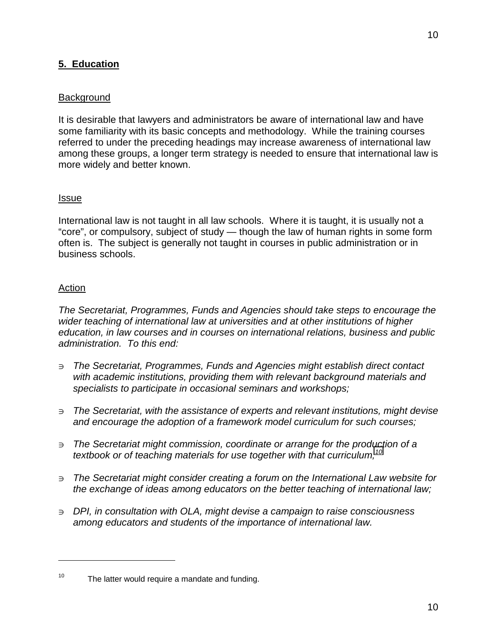# **5. Education**

# **Background**

It is desirable that lawyers and administrators be aware of international law and have some familiarity with its basic concepts and methodology. While the training courses referred to under the preceding headings may increase awareness of international law among these groups, a longer term strategy is needed to ensure that international law is more widely and better known.

#### Issue

International law is not taught in all law schools. Where it is taught, it is usually not a "core", or compulsory, subject of study — though the law of human rights in some form often is. The subject is generally not taught in courses in public administration or in business schools.

#### Action

l

*The Secretariat, Programmes, Funds and Agencies should take steps to encourage the wider teaching of international law at universities and at other institutions of higher education, in law courses and in courses on international relations, business and public administration. To this end:* 

- <sup>∋</sup>*The Secretariat, Programmes, Funds and Agencies might establish direct contact with academic institutions, providing them with relevant background materials and specialists to participate in occasional seminars and workshops;*
- <sup>∋</sup>*The Secretariat, with the assistance of experts and relevant institutions, might devise and encourage the adoption of a framework model curriculum for such courses;*
- <sup>∋</sup>*The Secretariat might commission, coordinate or arrange for the production of a textbook or of teaching materials for use together with that curriculum;<sup>10</sup>*
- <sup>∋</sup>*The Secretariat might consider creating a forum on the International Law website for the exchange of ideas among educators on the better teaching of international law;*
- <sup>∋</sup>*DPI, in consultation with OLA, might devise a campaign to raise consciousness among educators and students of the importance of international law.*

 $10$  The latter would require a mandate and funding.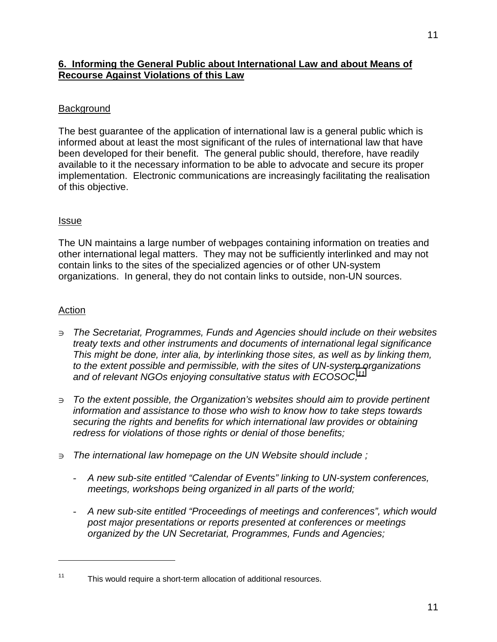# **6. Informing the General Public about International Law and about Means of Recourse Against Violations of this Law**

# **Background**

The best guarantee of the application of international law is a general public which is informed about at least the most significant of the rules of international law that have been developed for their benefit. The general public should, therefore, have readily available to it the necessary information to be able to advocate and secure its proper implementation. Electronic communications are increasingly facilitating the realisation of this objective.

# Issue

The UN maintains a large number of webpages containing information on treaties and other international legal matters. They may not be sufficiently interlinked and may not contain links to the sites of the specialized agencies or of other UN-system organizations. In general, they do not contain links to outside, non-UN sources.

# Action

l

- <sup>∋</sup>*The Secretariat, Programmes, Funds and Agencies should include on their websites treaty texts and other instruments and documents of international legal significance This might be done, inter alia, by interlinking those sites, as well as by linking them, to the extent possible and permissible, with the sites of UN-system organizations*  and of relevant NGOs enjoying consultative status with ECOSOC;<sup>11</sup>
- <sup>∋</sup>*To the extent possible, the Organization's websites should aim to provide pertinent information and assistance to those who wish to know how to take steps towards securing the rights and benefits for which international law provides or obtaining redress for violations of those rights or denial of those benefits;*
- <sup>∋</sup>*The international law homepage on the UN Website should include ;*
	- *A new sub-site entitled "Calendar of Events" linking to UN-system conferences, meetings, workshops being organized in all parts of the world;*
	- *A new sub-site entitled "Proceedings of meetings and conferences", which would post major presentations or reports presented at conferences or meetings organized by the UN Secretariat, Programmes, Funds and Agencies;*

<sup>&</sup>lt;sup>11</sup> This would require a short-term allocation of additional resources.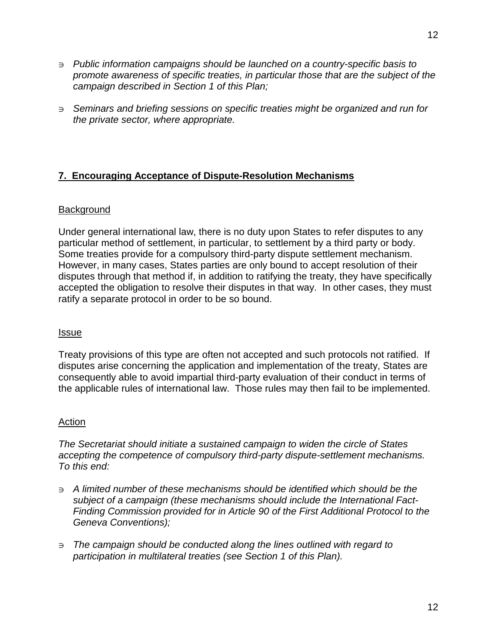- <sup>∋</sup>*Public information campaigns should be launched on a country-specific basis to promote awareness of specific treaties, in particular those that are the subject of the campaign described in Section 1 of this Plan;*
- <sup>∋</sup>*Seminars and briefing sessions on specific treaties might be organized and run for the private sector, where appropriate.*

# **7. Encouraging Acceptance of Dispute-Resolution Mechanisms**

# **Background**

Under general international law, there is no duty upon States to refer disputes to any particular method of settlement, in particular, to settlement by a third party or body. Some treaties provide for a compulsory third-party dispute settlement mechanism. However, in many cases, States parties are only bound to accept resolution of their disputes through that method if, in addition to ratifying the treaty, they have specifically accepted the obligation to resolve their disputes in that way. In other cases, they must ratify a separate protocol in order to be so bound.

# Issue

Treaty provisions of this type are often not accepted and such protocols not ratified. If disputes arise concerning the application and implementation of the treaty, States are consequently able to avoid impartial third-party evaluation of their conduct in terms of the applicable rules of international law. Those rules may then fail to be implemented.

# Action

*The Secretariat should initiate a sustained campaign to widen the circle of States accepting the competence of compulsory third-party dispute-settlement mechanisms. To this end:* 

- <sup>∋</sup>*A limited number of these mechanisms should be identified which should be the subject of a campaign (these mechanisms should include the International Fact-Finding Commission provided for in Article 90 of the First Additional Protocol to the Geneva Conventions);*
- <sup>∋</sup>*The campaign should be conducted along the lines outlined with regard to participation in multilateral treaties (see Section 1 of this Plan).*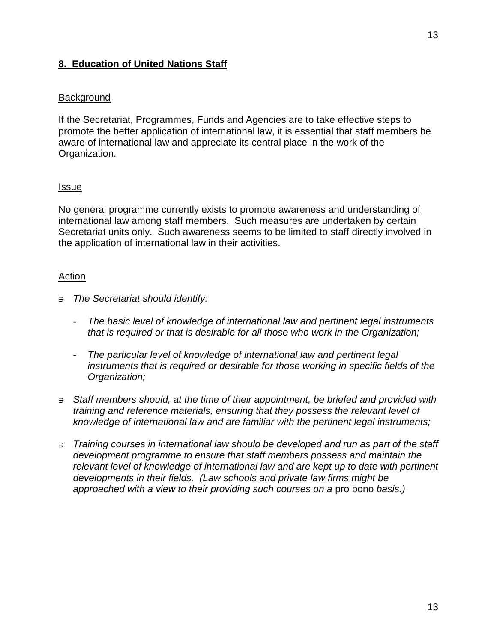# **8. Education of United Nations Staff**

#### **Background**

If the Secretariat, Programmes, Funds and Agencies are to take effective steps to promote the better application of international law, it is essential that staff members be aware of international law and appreciate its central place in the work of the Organization.

#### Issue

No general programme currently exists to promote awareness and understanding of international law among staff members. Such measures are undertaken by certain Secretariat units only. Such awareness seems to be limited to staff directly involved in the application of international law in their activities.

#### Action

- <sup>∋</sup>*The Secretariat should identify:* 
	- *The basic level of knowledge of international law and pertinent legal instruments that is required or that is desirable for all those who work in the Organization;*
	- *The particular level of knowledge of international law and pertinent legal instruments that is required or desirable for those working in specific fields of the Organization;*
- <sup>∋</sup>*Staff members should, at the time of their appointment, be briefed and provided with training and reference materials, ensuring that they possess the relevant level of knowledge of international law and are familiar with the pertinent legal instruments;*
- <sup>∋</sup>*Training courses in international law should be developed and run as part of the staff development programme to ensure that staff members possess and maintain the relevant level of knowledge of international law and are kept up to date with pertinent developments in their fields. (Law schools and private law firms might be approached with a view to their providing such courses on a* pro bono *basis.)*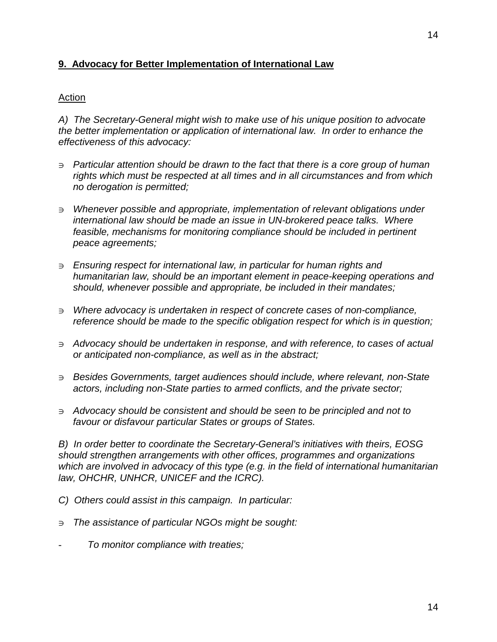# **9. Advocacy for Better Implementation of International Law**

#### Action

*A) The Secretary-General might wish to make use of his unique position to advocate the better implementation or application of international law. In order to enhance the effectiveness of this advocacy:* 

- <sup>∋</sup>*Particular attention should be drawn to the fact that there is a core group of human rights which must be respected at all times and in all circumstances and from which no derogation is permitted;*
- <sup>∋</sup>*Whenever possible and appropriate, implementation of relevant obligations under international law should be made an issue in UN-brokered peace talks. Where*  feasible, mechanisms for monitoring compliance should be included in pertinent *peace agreements;*
- <sup>∋</sup>*Ensuring respect for international law, in particular for human rights and humanitarian law, should be an important element in peace-keeping operations and should, whenever possible and appropriate, be included in their mandates;*
- <sup>∋</sup>*Where advocacy is undertaken in respect of concrete cases of non-compliance, reference should be made to the specific obligation respect for which is in question;*
- <sup>∋</sup>*Advocacy should be undertaken in response, and with reference, to cases of actual or anticipated non-compliance, as well as in the abstract;*
- <sup>∋</sup>*Besides Governments, target audiences should include, where relevant, non-State actors, including non-State parties to armed conflicts, and the private sector;*
- <sup>∋</sup>*Advocacy should be consistent and should be seen to be principled and not to favour or disfavour particular States or groups of States.*

*B) In order better to coordinate the Secretary-General's initiatives with theirs, EOSG should strengthen arrangements with other offices, programmes and organizations which are involved in advocacy of this type (e.g. in the field of international humanitarian law, OHCHR, UNHCR, UNICEF and the ICRC).* 

- *C) Others could assist in this campaign. In particular:*
- <sup>∋</sup>*The assistance of particular NGOs might be sought:*
- *To monitor compliance with treaties;*